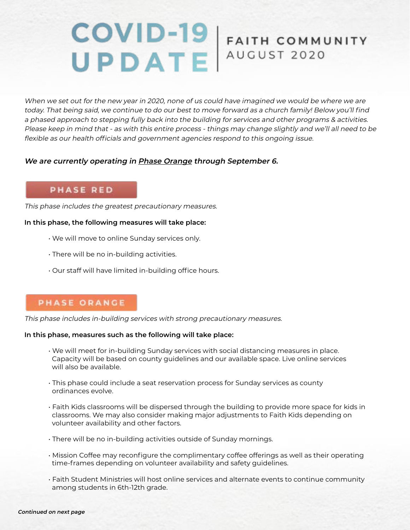# COVID-19 FAITH COMMI FAITH COMMUNITY

When we set out for the new year in 2020, none of us could have imagined we would be where we are today. That being said, we continue to do our best to move forward as a church family! Below you'll find a phased approach to stepping fully back into the building for services and other programs & activities. Please keep in mind that - as with this entire process - things may change slightly and we'll all need to be flexible as our health officials and government agencies respond to this ongoing issue.

#### **We are currently operating in Phase Orange through September 6.**

#### **PHASE RED**

This phase includes the greatest precautionary measures.

#### **In this phase, the following measures will take place:**

- We will move to online Sunday services only.
- There will be no in-building activities.
- Our staff will have limited in-building office hours.

#### **PHASE ORANGE**

This phase includes in-building services with strong precautionary measures.

#### **In this phase, measures such as the following will take place:**

- We will meet for in-building Sunday services with social distancing measures in place. Capacity will be based on county guidelines and our available space. Live online services will also be available.
- This phase could include a seat reservation process for Sunday services as county ordinances evolve.
- Faith Kids classrooms will be dispersed through the building to provide more space for kids in classrooms. We may also consider making major adjustments to Faith Kids depending on volunteer availability and other factors.
- There will be no in-building activities outside of Sunday mornings.
- Mission Coffee may reconfigure the complimentary coffee offerings as well as their operating time-frames depending on volunteer availability and safety guidelines.
- Faith Student Ministries will host online services and alternate events to continue community among students in 6th-12th grade.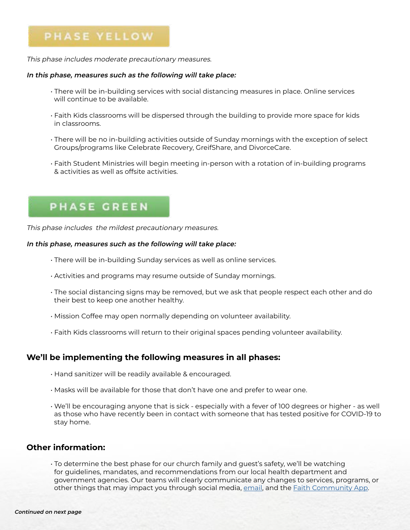### PHASE YELLOW

This phase includes moderate precautionary measures.

#### **In this phase, measures such as the following will take place:**

- There will be in-building services with social distancing measures in place. Online services will continue to be available.
- Faith Kids classrooms will be dispersed through the building to provide more space for kids in classrooms.
- There will be no in-building activities outside of Sunday mornings with the exception of select Groups/programs like Celebrate Recovery, GreifShare, and DivorceCare.
- Faith Student Ministries will begin meeting in-person with a rotation of in-building programs & activities as well as offsite activities.

## **PHASE GREEN**

This phase includes the mildest precautionary measures.

#### **In this phase, measures such as the following will take place:**

- There will be in-building Sunday services as well as online services.
- Activities and programs may resume outside of Sunday mornings.
- The social distancing signs may be removed, but we ask that people respect each other and do their best to keep one another healthy.
- Mission Coffee may open normally depending on volunteer availability.
- Faith Kids classrooms will return to their original spaces pending volunteer availability.

#### **We'll be implementing the following measures in all phases:**

- Hand sanitizer will be readily available & encouraged.
- Masks will be available for those that don't have one and prefer to wear one.
- We'll be encouraging anyone that is sick especially with a fever of 100 degrees or higher as well as those who have recently been in contact with someone that has tested positive for COVID-19 to stay home.

#### **Other information:**

• To determine the best phase for our church family and guest's safety, we'll be watching for guidelines, mandates, and recommendations from our local health department and government agencies. Our teams will clearly communicate any changes to services, programs, or other things that may impact you through social media, [email,](mailto:https://us11.list-manage.com/subscribe%3Fu%3Dfd15d41f0a1b9608c3d023ca0%26id%3D7336a131d3?subject=) and the **Faith Community App.**